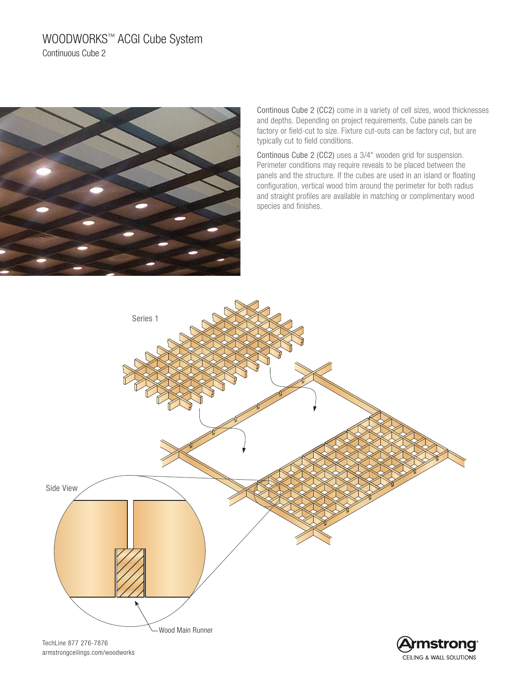# WOODWORKS™ ACGI Cube System Continuous Cube 2



Continous Cube 2 (CC2) come in a variety of cell sizes, wood thicknesses and depths. Depending on project requirements, Cube panels can be factory or field-cut to size. Fixture cut-outs can be factory cut, but are typically cut to field conditions.

Continous Cube 2 (CC2) uses a 3/4" wooden grid for suspension. Perimeter conditions may require reveals to be placed between the panels and the structure. If the cubes are used in an island or floating configuration, vertical wood trim around the perimeter for both radius and straight profiles are available in matching or complimentary wood species and finishes.

CEILING & WALL SOLUTIONS



armstrongceilings.com/woodworks